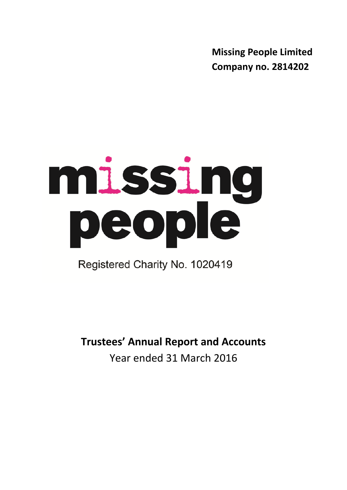**Missing People Limited Company no. 2814202**

# missing<br>people

Registered Charity No. 1020419

**Trustees' Annual Report and Accounts** Year ended 31 March 2016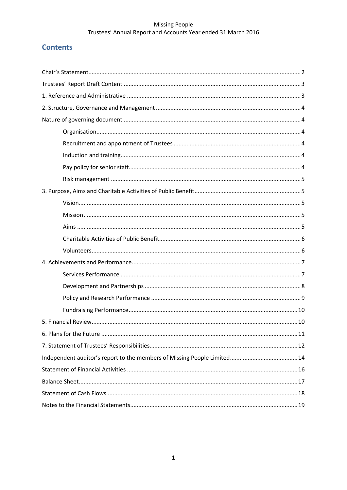# **Contents**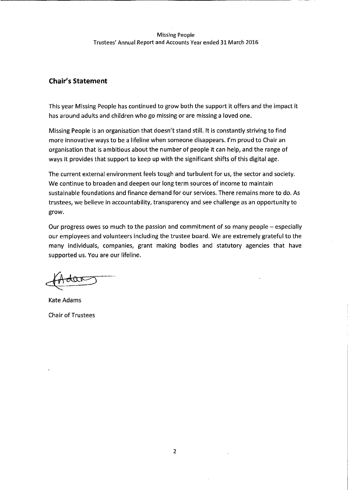## **Chair's Statement**

This year Missing People has continued to grow both the support it offers and the impact it has around adults and children who go missing or are missing a loved one.

Missing People is an organisation that doesn't stand still. It is constantly striving to find more innovative ways to be a lifeline when someone disappears. I'm proud to Chair an organisation that is ambitious about the number of people it can help, and the range of ways it provides that support to keep up with the significant shifts of this digital age.

The current external environment feels tough and turbulent for us, the sector and society. We continue to broaden and deepen our long term sources of income to maintain sustainable foundations and finance demand for our services. There remains more to do. As trustees, we believe in accountability, transparency and see challenge as an opportunity to grow.

Our progress owes so much to the passion and commitment of so many people – especially our employees and volunteers including the trustee board. We are extremely grateful to the many individuals, companies, grant making bodies and statutory agencies that have supported us. You are our lifeline.

**Kate Adams Chair of Trustees**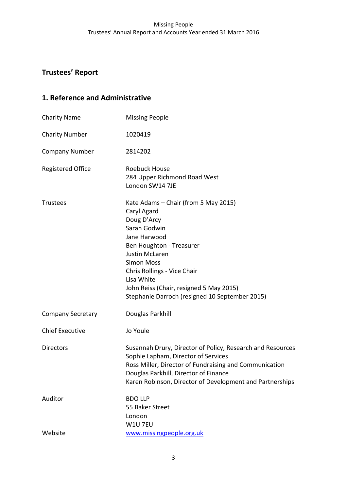# **Trustees' Report**

# **1. Reference and Administrative**

| <b>Charity Name</b>      | <b>Missing People</b>                                                                                                                                                                                                                                                                                                  |
|--------------------------|------------------------------------------------------------------------------------------------------------------------------------------------------------------------------------------------------------------------------------------------------------------------------------------------------------------------|
| <b>Charity Number</b>    | 1020419                                                                                                                                                                                                                                                                                                                |
| <b>Company Number</b>    | 2814202                                                                                                                                                                                                                                                                                                                |
| <b>Registered Office</b> | <b>Roebuck House</b><br>284 Upper Richmond Road West<br>London SW14 7JE                                                                                                                                                                                                                                                |
| <b>Trustees</b>          | Kate Adams - Chair (from 5 May 2015)<br>Caryl Agard<br>Doug D'Arcy<br>Sarah Godwin<br>Jane Harwood<br>Ben Houghton - Treasurer<br><b>Justin McLaren</b><br><b>Simon Moss</b><br>Chris Rollings - Vice Chair<br>Lisa White<br>John Reiss (Chair, resigned 5 May 2015)<br>Stephanie Darroch (resigned 10 September 2015) |
| <b>Company Secretary</b> | Douglas Parkhill                                                                                                                                                                                                                                                                                                       |
| <b>Chief Executive</b>   | Jo Youle                                                                                                                                                                                                                                                                                                               |
| <b>Directors</b>         | Susannah Drury, Director of Policy, Research and Resources<br>Sophie Lapham, Director of Services<br>Ross Miller, Director of Fundraising and Communication<br>Douglas Parkhill, Director of Finance<br>Karen Robinson, Director of Development and Partnerships                                                       |
| Auditor                  | <b>BDO LLP</b><br>55 Baker Street<br>London<br>W1U 7EU                                                                                                                                                                                                                                                                 |
| Website                  | www.missingpeople.org.uk                                                                                                                                                                                                                                                                                               |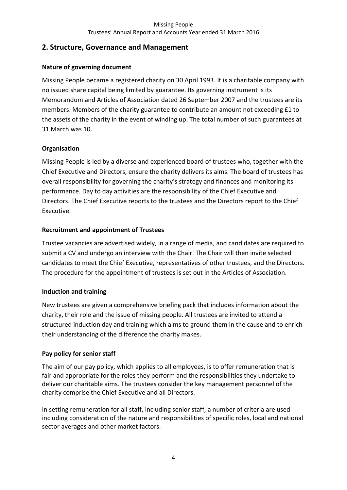# **2. Structure, Governance and Management**

## **Nature of governing document**

Missing People became a registered charity on 30 April 1993. It is a charitable company with no issued share capital being limited by guarantee. Its governing instrument is its Memorandum and Articles of Association dated 26 September 2007 and the trustees are its members. Members of the charity guarantee to contribute an amount not exceeding £1 to the assets of the charity in the event of winding up. The total number of such guarantees at 31 March was 10.

## **Organisation**

Missing People is led by a diverse and experienced board of trustees who, together with the Chief Executive and Directors, ensure the charity delivers its aims. The board of trustees has overall responsibility for governing the charity's strategy and finances and monitoring its performance. Day to day activities are the responsibility of the Chief Executive and Directors. The Chief Executive reports to the trustees and the Directors report to the Chief Executive.

## **Recruitment and appointment of Trustees**

Trustee vacancies are advertised widely, in a range of media, and candidates are required to submit a CV and undergo an interview with the Chair. The Chair will then invite selected candidates to meet the Chief Executive, representatives of other trustees, and the Directors. The procedure for the appointment of trustees is set out in the Articles of Association.

## **Induction and training**

New trustees are given a comprehensive briefing pack that includes information about the charity, their role and the issue of missing people. All trustees are invited to attend a structured induction day and training which aims to ground them in the cause and to enrich their understanding of the difference the charity makes.

## **Pay policy for senior staff**

The aim of our pay policy, which applies to all employees, is to offer remuneration that is fair and appropriate for the roles they perform and the responsibilities they undertake to deliver our charitable aims. The trustees consider the key management personnel of the charity comprise the Chief Executive and all Directors.

In setting remuneration for all staff, including senior staff, a number of criteria are used including consideration of the nature and responsibilities of specific roles, local and national sector averages and other market factors.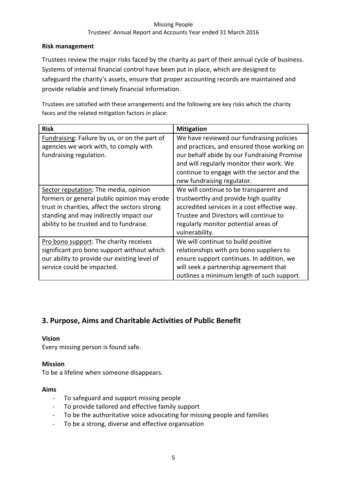## **Risk management**

Trustees review the major risks faced by the charity as part of their annual cycle of business. Systems of internal financial control have been put in place, which are designed to safeguard the charity's assets, ensure that proper accounting records are maintained and provide reliable and timely financial information.

Trustees are satisfied with these arrangements and the following are key risks which the charity faces and the related mitigation factors in place:

| <b>Risk</b>                                   | <b>Mitigation</b>                            |
|-----------------------------------------------|----------------------------------------------|
| Fundraising: Failure by us, or on the part of | We have reviewed our fundraising policies    |
| agencies we work with, to comply with         | and practices, and ensured those working on  |
| fundraising regulation.                       | our behalf abide by our Fundraising Promise  |
|                                               | and will regularly monitor their work. We    |
|                                               | continue to engage with the sector and the   |
|                                               | new fundraising regulator.                   |
| Sector reputation: The media, opinion         | We will continue to be transparent and       |
| formers or general public opinion may erode   | trustworthy and provide high quality         |
| trust in charities, affect the sectors strong | accredited services in a cost effective way. |
| standing and may indirectly impact our        | Trustee and Directors will continue to       |
| ability to be trusted and to fundraise.       | regularly monitor potential areas of         |
|                                               | vulnerability.                               |
| Pro bono support: The charity receives        | We will continue to build positive           |
| significant pro bono support without which    | relationships with pro bono suppliers to     |
| our ability to provide our existing level of  | ensure support continues. In addition, we    |
| service could be impacted.                    | will seek a partnership agreement that       |
|                                               | outlines a minimum length of such support.   |

# **3. Purpose, Aims and Charitable Activities of Public Benefit**

## **Vision**

Every missing person is found safe.

#### **Mission**

To be a lifeline when someone disappears.

#### **Aims**

- To safeguard and support missing people
- To provide tailored and effective family support
- To be the authoritative voice advocating for missing people and families
- To be a strong, diverse and effective organisation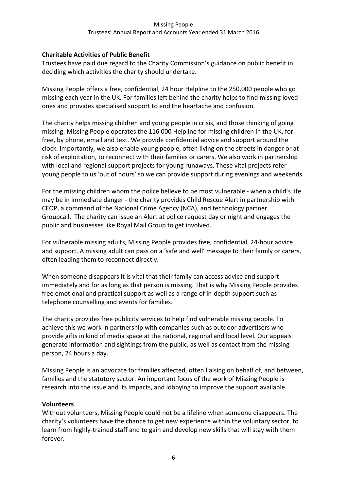## **Charitable Activities of Public Benefit**

Trustees have paid due regard to the Charity Commission's guidance on public benefit in deciding which activities the charity should undertake.

Missing People offers a free, confidential, 24 hour Helpline to the 250,000 people who go missing each year in the UK. For families left behind the charity helps to find missing loved ones and provides specialised support to end the heartache and confusion.

The charity helps missing children and young people in crisis, and those thinking of going missing. Missing People operates the 116 000 Helpline for missing children in the UK, for free, by phone, email and text. We provide confidential advice and support around the clock. Importantly, we also enable young people, often living on the streets in danger or at risk of exploitation, to reconnect with their families or carers. We also work in partnership with local and regional support projects for young runaways. These vital projects refer young people to us 'out of hours' so we can provide support during evenings and weekends.

For the missing children whom the police believe to be most vulnerable - when a child's life may be in immediate danger - the charity provides Child Rescue Alert in partnership with CEOP, a command of the [National Crime Agency \(NCA\),](http://nationalcrimeagency.gov.uk/) and technology partner Groupcall. The charity can issue an Alert at police request day or night and engages the public and businesses like Royal Mail Group to get involved.

For vulnerable missing adults, Missing People provides free, confidential, 24-hour advice and support. A missing adult can pass on a 'safe and well' message to their family or carers, often leading them to reconnect directly.

When someone disappears it is vital that their family can access advice and support immediately and for as long as that person is missing. That is why Missing People provides free emotional and practical support as well as a range of in-depth support such as telephone counselling and events for families.

The charity provides free publicity services to help find vulnerable missing people. To achieve this we work in partnership with companies such as outdoor advertisers who provide gifts in kind of media space at the national, regional and local level. Our appeals generate information and sightings from the public, as well as contact from the missing person, 24 hours a day.

Missing People is an advocate for families affected, often liaising on behalf of, and between, families and the statutory sector. An important focus of the work of Missing People is research into the issue and its impacts, and lobbying to improve the support available.

#### **Volunteers**

Without volunteers, Missing People could not be a lifeline when someone disappears. The charity's volunteers have the chance to get new experience within the voluntary sector, to learn from highly-trained staff and to gain and develop new skills that will stay with them forever.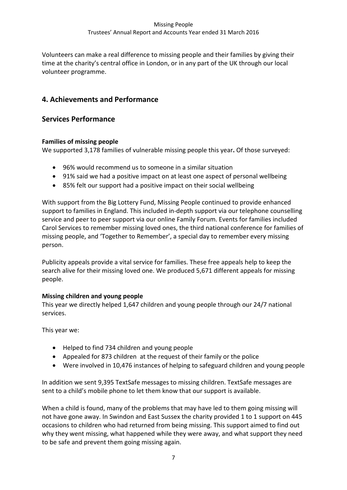Volunteers can make a real difference to missing people and their families by giving their time at the charity's central office in London, or in any part of the UK through our local volunteer programme.

# **4. Achievements and Performance**

## **Services Performance**

## **Families of missing people**

We supported 3,178 families of vulnerable missing people this year**.** Of those surveyed:

- 96% would recommend us to someone in a similar situation
- 91% said we had a positive impact on at least one aspect of personal wellbeing
- 85% felt our support had a positive impact on their social wellbeing

With support from the Big Lottery Fund, Missing People continued to provide enhanced support to families in England. This included in-depth support via our telephone counselling service and peer to peer support via our online Family Forum. Events for families included Carol Services to remember missing loved ones, the third national conference for families of missing people, and 'Together to Remember', a special day to remember every missing person.

Publicity appeals provide a vital service for families. These free appeals help to keep the search alive for their missing loved one. We produced 5,671 different appeals for missing people.

## **Missing children and young people**

This year we directly helped 1,647 children and young people through our 24/7 national services.

This year we:

- Helped to find 734 children and young people
- Appealed for 873 children at the request of their family or the police
- Were involved in 10,476 instances of helping to safeguard children and young people

In addition we sent 9,395 TextSafe messages to missing children. TextSafe messages are sent to a child's mobile phone to let them know that our support is available.

When a child is found, many of the problems that may have led to them going missing will not have gone away. In Swindon and East Sussex the charity provided 1 to 1 support on 445 occasions to children who had returned from being missing. This support aimed to find out why they went missing, what happened while they were away, and what support they need to be safe and prevent them going missing again.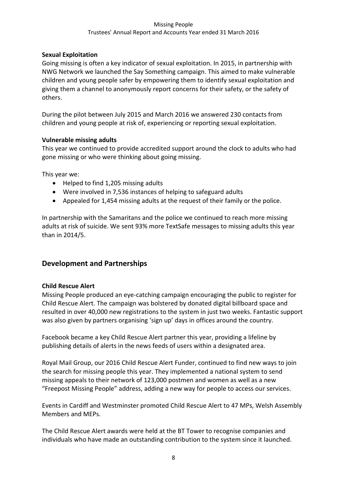## **Sexual Exploitation**

Going missing is often a key indicator of sexual exploitation. In 2015, in partnership with NWG Network we launched the Say Something campaign. This aimed to make vulnerable children and young people safer by empowering them to identify sexual exploitation and giving them a channel to anonymously report concerns for their safety, or the safety of others.

During the pilot between July 2015 and March 2016 we answered 230 contacts from children and young people at risk of, experiencing or reporting sexual exploitation.

## **Vulnerable missing adults**

This year we continued to provide accredited support around the clock to adults who had gone missing or who were thinking about going missing.

This year we:

- Helped to find 1,205 missing adults
- Were involved in 7,536 instances of helping to safeguard adults
- Appealed for 1,454 missing adults at the request of their family or the police.

In partnership with the Samaritans and the police we continued to reach more missing adults at risk of suicide. We sent 93% more TextSafe messages to missing adults this year than in 2014/5.

## **Development and Partnerships**

#### **Child Rescue Alert**

Missing People produced an eye-catching campaign encouraging the public to register for Child Rescue Alert. The campaign was bolstered by donated digital billboard space and resulted in over 40,000 new registrations to the system in just two weeks. Fantastic support was also given by partners organising 'sign up' days in offices around the country.

Facebook became a key Child Rescue Alert partner this year, providing a lifeline by publishing details of alerts in the news feeds of users within a designated area.

Royal Mail Group, our 2016 Child Rescue Alert Funder, continued to find new ways to join the search for missing people this year. They implemented a national system to send missing appeals to their network of 123,000 postmen and women as well as a new "Freepost Missing People" address, adding a new way for people to access our services.

Events in Cardiff and Westminster promoted Child Rescue Alert to 47 MPs, Welsh Assembly Members and MEPs.

The Child Rescue Alert awards were held at the BT Tower to recognise companies and individuals who have made an outstanding contribution to the system since it launched.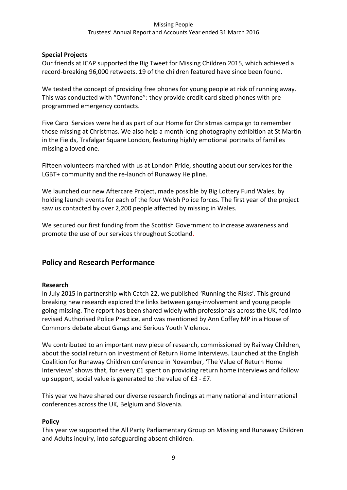## **Special Projects**

Our friends at ICAP supported the Big Tweet for Missing Children 2015, which achieved a record-breaking 96,000 retweets. 19 of the children featured have since been found.

We tested the concept of providing free phones for young people at risk of running away. This was conducted with "Ownfone": they provide credit card sized phones with preprogrammed emergency contacts.

Five Carol Services were held as part of our Home for Christmas campaign to remember those missing at Christmas. We also help a month-long photography exhibition at St Martin in the Fields, Trafalgar Square London, featuring highly emotional portraits of families missing a loved one.

Fifteen volunteers marched with us at London Pride, shouting about our services for the LGBT+ community and the re-launch of Runaway Helpline.

We launched our new Aftercare Project, made possible by Big Lottery Fund Wales, by holding launch events for each of the four Welsh Police forces. The first year of the project saw us contacted by over 2,200 people affected by missing in Wales.

We secured our first funding from the Scottish Government to increase awareness and promote the use of our services throughout Scotland.

# **Policy and Research Performance**

## **Research**

In July 2015 in partnership with Catch 22, we published 'Running the Risks'. This groundbreaking new research explored the links between gang-involvement and young people going missing. The report has been shared widely with professionals across the UK, fed into revised Authorised Police Practice, and was mentioned by Ann Coffey MP in a House of Commons debate about Gangs and Serious Youth Violence.

We contributed to an important new piece of research, commissioned by Railway Children, about the social return on investment of Return Home Interviews. Launched at the English Coalition for Runaway Children conference in November, 'The Value of Return Home Interviews' shows that, for every £1 spent on providing return home interviews and follow up support, social value is generated to the value of £3 - £7.

This year we have shared our diverse research findings at many national and international conferences across the UK, Belgium and Slovenia.

#### **Policy**

This year we supported the All Party Parliamentary Group on Missing and Runaway Children and Adults inquiry, into safeguarding absent children.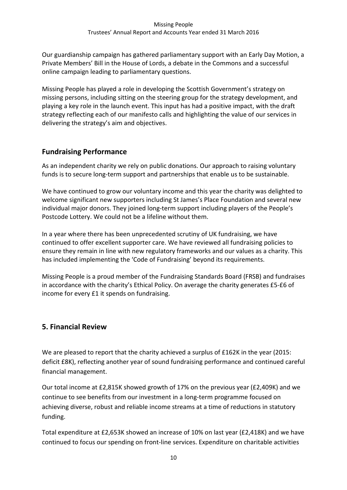Our guardianship campaign has gathered parliamentary support with an Early Day Motion, a Private Members' Bill in the House of Lords, a debate in the Commons and a successful online campaign leading to parliamentary questions.

Missing People has played a role in developing the Scottish Government's strategy on missing persons, including sitting on the steering group for the strategy development, and playing a key role in the launch event. This input has had a positive impact, with the draft strategy reflecting each of our manifesto calls and highlighting the value of our services in delivering the strategy's aim and objectives.

# **Fundraising Performance**

As an independent charity we rely on public donations. Our approach to raising voluntary funds is to secure long-term support and partnerships that enable us to be sustainable.

We have continued to grow our voluntary income and this year the charity was delighted to welcome significant new supporters including St James's Place Foundation and several new individual major donors. They joined long-term support including players of the People's Postcode Lottery. We could not be a lifeline without them.

In a year where there has been unprecedented scrutiny of UK fundraising, we have continued to offer excellent supporter care. We have reviewed all fundraising policies to ensure they remain in line with new regulatory frameworks and our values as a charity. This has included implementing the 'Code of Fundraising' beyond its requirements.

Missing People is a proud member of the Fundraising Standards Board (FRSB) and fundraises in accordance with the charity's Ethical Policy. On average the charity generates £5-£6 of income for every £1 it spends on fundraising.

# **5. Financial Review**

We are pleased to report that the charity achieved a surplus of £162K in the year (2015: deficit £8K), reflecting another year of sound fundraising performance and continued careful financial management.

Our total income at £2,815K showed growth of 17% on the previous year (£2,409K) and we continue to see benefits from our investment in a long-term programme focused on achieving diverse, robust and reliable income streams at a time of reductions in statutory funding.

Total expenditure at £2,653K showed an increase of 10% on last year (£2,418K) and we have continued to focus our spending on front-line services. Expenditure on charitable activities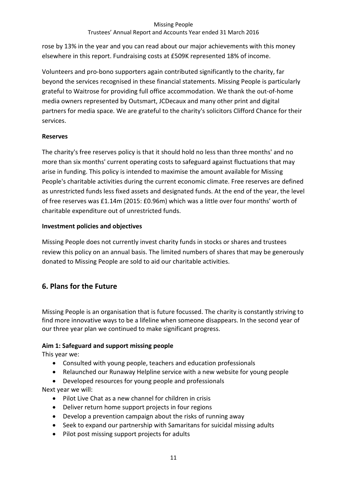## Trustees' Annual Report and Accounts Year ended 31 March 2016

rose by 13% in the year and you can read about our major achievements with this money elsewhere in this report. Fundraising costs at £509K represented 18% of income.

Volunteers and pro-bono supporters again contributed significantly to the charity, far beyond the services recognised in these financial statements. Missing People is particularly grateful to Waitrose for providing full office accommodation. We thank the out-of-home media owners represented by Outsmart, JCDecaux and many other print and digital partners for media space. We are grateful to the charity's solicitors Clifford Chance for their services.

## **Reserves**

The charity's free reserves policy is that it should hold no less than three months' and no more than six months' current operating costs to safeguard against fluctuations that may arise in funding. This policy is intended to maximise the amount available for Missing People's charitable activities during the current economic climate. Free reserves are defined as unrestricted funds less fixed assets and designated funds. At the end of the year, the level of free reserves was £1.14m (2015: £0.96m) which was a little over four months' worth of charitable expenditure out of unrestricted funds.

## **Investment policies and objectives**

Missing People does not currently invest charity funds in stocks or shares and trustees review this policy on an annual basis. The limited numbers of shares that may be generously donated to Missing People are sold to aid our charitable activities.

# **6. Plans for the Future**

Missing People is an organisation that is future focussed. The charity is constantly striving to find more innovative ways to be a lifeline when someone disappears. In the second year of our three year plan we continued to make significant progress.

## **Aim 1: Safeguard and support missing people**

This year we:

- Consulted with young people, teachers and education professionals
- Relaunched our Runaway Helpline service with a new website for young people
- Developed resources for young people and professionals

Next year we will:

- Pilot Live Chat as a new channel for children in crisis
- Deliver return home support projects in four regions
- Develop a prevention campaign about the risks of running away
- Seek to expand our partnership with Samaritans for suicidal missing adults
- Pilot post missing support projects for adults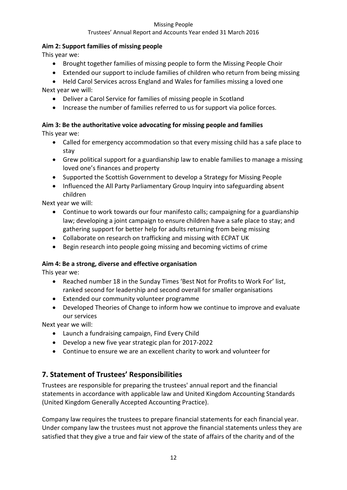## Trustees' Annual Report and Accounts Year ended 31 March 2016

## **Aim 2: Support families of missing people**

This year we:

- Brought together families of missing people to form the Missing People Choir
- Extended our support to include families of children who return from being missing
- Held Carol Services across England and Wales for families missing a loved one Next year we will:
	- Deliver a Carol Service for families of missing people in Scotland
	- Increase the number of families referred to us for support via police forces.

## **Aim 3: Be the authoritative voice advocating for missing people and families**

This year we:

- Called for emergency accommodation so that every missing child has a safe place to stay
- Grew political support for a guardianship law to enable families to manage a missing loved one's finances and property
- Supported the Scottish Government to develop a Strategy for Missing People
- Influenced the All Party Parliamentary Group Inquiry into safeguarding absent children

Next year we will:

- Continue to work towards our four manifesto calls; campaigning for a guardianship law; developing a joint campaign to ensure children have a safe place to stay; and gathering support for better help for adults returning from being missing
- Collaborate on research on trafficking and missing with ECPAT UK
- Begin research into people going missing and becoming victims of crime

## **Aim 4: Be a strong, diverse and effective organisation**

This year we:

- Reached number 18 in the Sunday Times 'Best Not for Profits to Work For' list, ranked second for leadership and second overall for smaller organisations
- Extended our community volunteer programme
- Developed Theories of Change to inform how we continue to improve and evaluate our services

Next year we will:

- Launch a fundraising campaign, Find Every Child
- Develop a new five year strategic plan for 2017-2022
- Continue to ensure we are an excellent charity to work and volunteer for

# **7. Statement of Trustees' Responsibilities**

Trustees are responsible for preparing the trustees' annual report and the financial statements in accordance with applicable law and United Kingdom Accounting Standards (United Kingdom Generally Accepted Accounting Practice).

Company law requires the trustees to prepare financial statements for each financial year. Under company law the trustees must not approve the financial statements unless they are satisfied that they give a true and fair view of the state of affairs of the charity and of the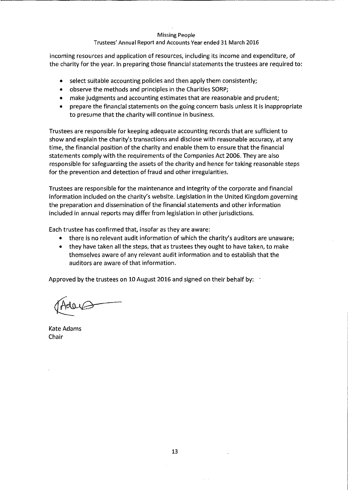#### Trustees' Annual Report and Accounts Year ended 31 March 2016

incoming resources and application of resources, including its income and expenditure, of the charity for the year. In preparing those financial statements the trustees are required to:

- select suitable accounting policies and then apply them consistently;
- observe the methods and principles in the Charities SORP;
- make judgments and accounting estimates that are reasonable and prudent;
- prepare the financial statements on the going concern basis unless it is inappropriate to presume that the charity will continue in business.

Trustees are responsible for keeping adequate accounting records that are sufficient to show and explain the charity's transactions and disclose with reasonable accuracy, at any time, the financial position of the charity and enable them to ensure that the financial statements comply with the requirements of the Companies Act 2006. They are also responsible for safeguarding the assets of the charity and hence for taking reasonable steps for the prevention and detection of fraud and other irregularities.

Trustees are responsible for the maintenance and integrity of the corporate and financial information included on the charity's website. Legislation in the United Kingdom governing the preparation and dissemination of the financial statements and other information included in annual reports may differ from legislation in other jurisdictions.

Each trustee has confirmed that, insofar as they are aware:

- there is no relevant audit information of which the charity's auditors are unaware;
- $\bullet$ they have taken all the steps, that as trustees they ought to have taken, to make themselves aware of any relevant audit information and to establish that the auditors are aware of that information.

Approved by the trustees on 10 August 2016 and signed on their behalf by: 1

Kate Adams Chair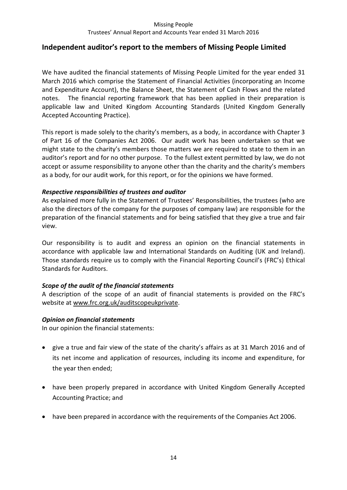## **Independent auditor's report to the members of Missing People Limited**

We have audited the financial statements of Missing People Limited for the year ended 31 March 2016 which comprise the Statement of Financial Activities (incorporating an Income and Expenditure Account), the Balance Sheet, the Statement of Cash Flows and the related notes. The financial reporting framework that has been applied in their preparation is applicable law and United Kingdom Accounting Standards (United Kingdom Generally Accepted Accounting Practice).

This report is made solely to the charity's members, as a body, in accordance with Chapter 3 of Part 16 of the Companies Act 2006. Our audit work has been undertaken so that we might state to the charity's members those matters we are required to state to them in an auditor's report and for no other purpose. To the fullest extent permitted by law, we do not accept or assume responsibility to anyone other than the charity and the charity's members as a body, for our audit work, for this report, or for the opinions we have formed.

## *Respective responsibilities of trustees and auditor*

As explained more fully in the Statement of Trustees' Responsibilities, the trustees (who are also the directors of the company for the purposes of company law) are responsible for the preparation of the financial statements and for being satisfied that they give a true and fair view.

Our responsibility is to audit and express an opinion on the financial statements in accordance with applicable law and International Standards on Auditing (UK and Ireland). Those standards require us to comply with the Financial Reporting Council's (FRC's) Ethical Standards for Auditors.

#### *Scope of the audit of the financial statements*

A description of the scope of an audit of financial statements is provided on the FRC's website at [www.frc.org.uk/auditscopeukprivate.](http://www.frc.org.uk/auditscopeukprivate)

#### *Opinion on financial statements*

In our opinion the financial statements:

- give a true and fair view of the state of the charity's affairs as at 31 March 2016 and of its net income and application of resources, including its income and expenditure, for the year then ended;
- have been properly prepared in accordance with United Kingdom Generally Accepted Accounting Practice; and
- have been prepared in accordance with the requirements of the Companies Act 2006.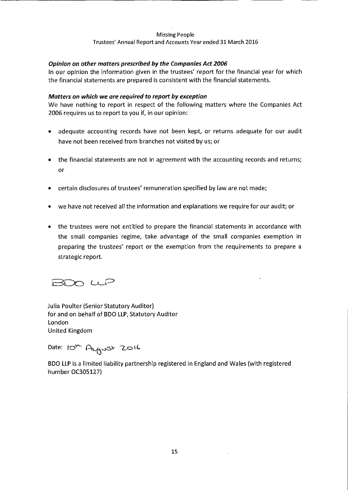#### Trustees' Annual Report and Accounts Year ended 31 March 2016

#### Opinion on other matters prescribed by the Companies Act 2006

In our opinion the information given in the trustees' report for the financial year for which the financial statements are prepared is consistent with the financial statements.

#### Matters on which we are required to report by exception

We have nothing to report in respect of the following matters where the Companies Act 2006 requires us to report to you if, in our opinion:

- adequate accounting records have not been kept, or returns adequate for our audit have not been received from branches not visited by us; or
- the financial statements are not in agreement with the accounting records and returns; or
- certain disclosures of trustees' remuneration specified by law are not made;
- we have not received all the information and explanations we require for our audit; or
- the trustees were not entitled to prepare the financial statements in accordance with the small companies regime, take advantage of the small companies exemption in preparing the trustees' report or the exemption from the requirements to prepare a strategic report.

BDO LLP

**Julia Poulter (Senior Statutory Auditor)** for and on behalf of BDO LLP, Statutory Auditor London **United Kingdom** 

Date: 10th Angust 2016

BDO LLP is a limited liability partnership registered in England and Wales (with registered humber OC305127)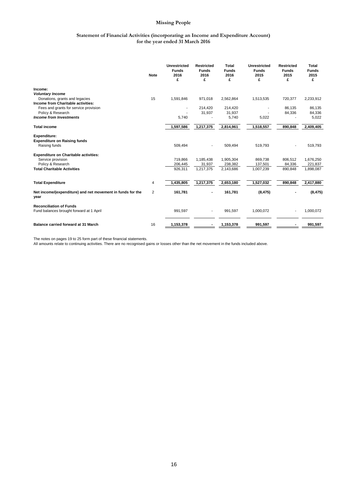#### **Statement of Financial Activities (incorporating an Income and Expenditure Account) for the year ended 31 March 2016**

|                                                                             | <b>Note</b>    | <b>Unrestricted</b><br><b>Funds</b><br>2016<br>£ | <b>Restricted</b><br><b>Funds</b><br>2016<br>£ | <b>Total</b><br><b>Funds</b><br>2016<br>£ | <b>Unrestricted</b><br><b>Funds</b><br>2015<br>£ | <b>Restricted</b><br><b>Funds</b><br>2015<br>£ | <b>Total</b><br><b>Funds</b><br>2015<br>£ |
|-----------------------------------------------------------------------------|----------------|--------------------------------------------------|------------------------------------------------|-------------------------------------------|--------------------------------------------------|------------------------------------------------|-------------------------------------------|
| Income:                                                                     |                |                                                  |                                                |                                           |                                                  |                                                |                                           |
| <b>Voluntary Income</b>                                                     |                |                                                  |                                                |                                           |                                                  |                                                |                                           |
| Donations, grants and legacies                                              | 15             | 1,591,846                                        | 971,018                                        | 2,562,864                                 | 1,513,535                                        | 720,377                                        | 2,233,912                                 |
| Income from Charitable activities:<br>Fees and grants for service provision |                |                                                  | 214,420                                        | 214,420                                   |                                                  | 86,135                                         | 86,135                                    |
| Policy & Research                                                           |                |                                                  | 31,937                                         | 31,937                                    |                                                  | 84,336                                         | 84,336                                    |
| <b>Income from Investments</b>                                              |                | 5,740                                            |                                                | 5,740                                     | 5,022                                            |                                                | 5,022                                     |
|                                                                             |                |                                                  |                                                |                                           |                                                  |                                                |                                           |
| <b>Total income</b>                                                         |                | 1,597,586                                        | 1,217,375                                      | 2,814,961                                 | 1,518,557                                        | 890,848                                        | 2,409,405                                 |
| <b>Expenditure:</b>                                                         |                |                                                  |                                                |                                           |                                                  |                                                |                                           |
| <b>Expenditure on Raising funds</b>                                         |                |                                                  |                                                |                                           |                                                  |                                                |                                           |
| Raising funds                                                               |                | 509,494                                          |                                                | 509,494                                   | 519,793                                          |                                                | 519,793                                   |
| <b>Expenditure on Charitable activities:</b>                                |                |                                                  |                                                |                                           |                                                  |                                                |                                           |
| Service provision                                                           |                | 719,866                                          | 1,185,438                                      | 1,905,304                                 | 869,738                                          | 806,512                                        | 1,676,250                                 |
| Policy & Research                                                           |                | 206,445                                          | 31,937                                         | 238,382                                   | 137,501                                          | 84,336                                         | 221,837                                   |
| <b>Total Charitable Activities</b>                                          |                | 926,311                                          | 1,217,375                                      | 2,143,686                                 | 1,007,239                                        | 890,848                                        | 1,898,087                                 |
|                                                                             |                |                                                  |                                                |                                           |                                                  |                                                |                                           |
| <b>Total Expenditure</b>                                                    | 4              | 1,435,805                                        | 1,217,375                                      | 2,653,180                                 | 1,527,032                                        | 890,848                                        | 2,417,880                                 |
| Net income/(expenditure) and net movement in funds for the<br>year          | $\overline{2}$ | 161.781                                          |                                                | 161,781                                   | (8, 475)                                         |                                                | (8, 475)                                  |
| <b>Reconciliation of Funds</b>                                              |                |                                                  |                                                |                                           |                                                  |                                                |                                           |
| Fund balances brought forward at 1 April                                    |                | 991,597                                          |                                                | 991,597                                   | 1,000,072                                        |                                                | 1,000,072                                 |
| <b>Balance carried forward at 31 March</b>                                  | 16             | 1,153,378                                        |                                                | 1,153,378                                 | 991,597                                          |                                                | 991,597                                   |

The notes on pages 19 to 25 form part of these financial statements.

All amounts relate to continuing activities. There are no recognised gains or losses other than the net movement in the funds included above.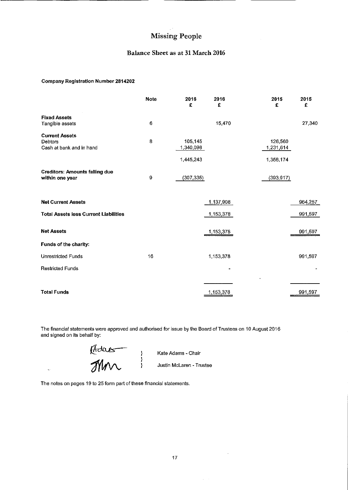#### Balance Sheet as at 31 March 2016

#### **Company Registration Number 2814202**

|                                                              | <b>Note</b> | 2016<br>£                         | 2016<br>£ | 2015<br>£                         | 2015<br>£ |
|--------------------------------------------------------------|-------------|-----------------------------------|-----------|-----------------------------------|-----------|
| <b>Fixed Assets</b><br>Tangible assets                       | 6           |                                   | 15,470    |                                   | 27,340    |
| <b>Current Assets</b><br>Debtors<br>Cash at bank and in hand | 8           | 105,145<br>1,340,098<br>1,445,243 |           | 126,560<br>1,231,614<br>1,358,174 |           |
| <b>Creditors: Amounts falling due</b><br>within one year     | a           | (307, 335)                        |           | (393, 917)                        |           |
| <b>Net Current Assets</b>                                    |             |                                   | 1,137,908 |                                   | 964,257   |
| <b>Total Assets less Current Liabilities</b>                 |             |                                   | 1,153,378 |                                   | 991,597   |
| <b>Net Assets</b>                                            |             |                                   | 1,153,378 |                                   | 991,597   |
| Funds of the charity:                                        |             |                                   |           |                                   |           |
| <b>Unrestricted Funds</b>                                    | 16          |                                   | 1,153,378 |                                   | 991,597   |
| <b>Restricted Funds</b>                                      |             |                                   |           |                                   |           |
|                                                              |             |                                   |           |                                   |           |
| <b>Total Funds</b>                                           |             |                                   | 1,153,378 |                                   | 991,597   |

The financial statements were approved and authorised for issue by the Board of Trustees on 10 August 2016 and signed on its behalf by:

Madas

 $\ddot{\phantom{a}}$ 

Kate Adams - Chair

Justin McLaren - Trustee

The notes on pages 19 to 25 form part of these financial statements.

 $\sim$ 

 $\omega_{\rm c}$  ,  $\omega$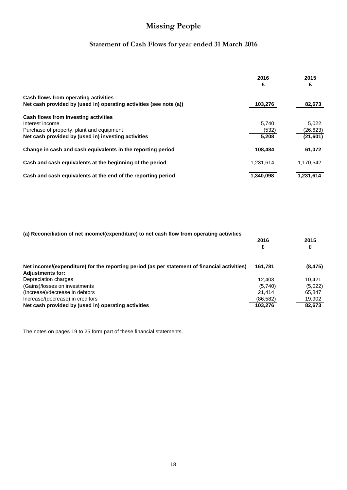# **Statement of Cash Flows for year ended 31 March 2016**

|                                                                    | 2016<br>£ | 2015<br>£ |
|--------------------------------------------------------------------|-----------|-----------|
| Cash flows from operating activities :                             |           |           |
| Net cash provided by (used in) operating activities (see note (a)) | 103,276   | 82,673    |
| Cash flows from investing activities                               |           |           |
| Interest income                                                    | 5.740     | 5,022     |
| Purchase of property, plant and equipment                          | (532)     | (26,623)  |
| Net cash provided by (used in) investing activities                | 5,208     | (21, 601) |
| Change in cash and cash equivalents in the reporting period        | 108,484   | 61,072    |
| Cash and cash equivalents at the beginning of the period           | 1.231.614 | 1,170,542 |
| Cash and cash equivalents at the end of the reporting period       | 1,340,098 | 1,231,614 |

| (a) Reconciliation of net income/(expenditure) to net cash flow from operating activities    |           |          |
|----------------------------------------------------------------------------------------------|-----------|----------|
|                                                                                              | 2016      | 2015     |
|                                                                                              | £         |          |
| Net income/(expenditure) for the reporting period (as per statement of financial activities) | 161,781   | (8, 475) |
| <b>Adjustments for:</b>                                                                      |           |          |
| Depreciation charges                                                                         | 12.403    | 10.421   |
| (Gains)/losses on investments                                                                | (5,740)   | (5,022)  |
| (Increase)/decrease in debtors                                                               | 21.414    | 65.847   |
| Increase/(decrease) in creditors                                                             | (86, 582) | 19,902   |
| Net cash provided by (used in) operating activities                                          | 103.276   | 82,673   |

The notes on pages 19 to 25 form part of these financial statements.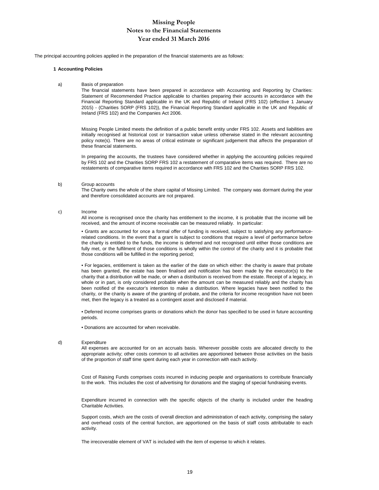The principal accounting policies applied in the preparation of the financial statements are as follows:

#### **1 Accounting Policies**

a) Basis of preparation

The financial statements have been prepared in accordance with Accounting and Reporting by Charities: Statement of Recommended Practice applicable to charities preparing their accounts in accordance with the Financial Reporting Standard applicable in the UK and Republic of Ireland (FRS 102) (effective 1 January 2015) - (Charities SORP (FRS 102)), the Financial Reporting Standard applicable in the UK and Republic of Ireland (FRS 102) and the Companies Act 2006.

Missing People Limited meets the definition of a public benefit entity under FRS 102. Assets and liabilities are initially recognised at historical cost or transaction value unless otherwise stated in the relevant accounting policy note(s). There are no areas of critical estimate or significant judgement that affects the preparation of these financial statements.

In preparing the accounts, the trustees have considered whether in applying the accounting policies required by FRS 102 and the Charities SORP FRS 102 a restatement of comparative items was required. There are no restatements of comparative items required in accordance with FRS 102 and the Charities SORP FRS 102.

#### b) Group accounts

The Charity owns the whole of the share capital of Missing Limited. The company was dormant during the year and therefore consolidated accounts are not prepared.

c) Income

All income is recognised once the charity has entitlement to the income, it is probable that the income will be received, and the amount of income receivable can be measured reliably. In particular:

• Grants are accounted for once a formal offer of funding is received, subject to satisfying any performancerelated conditions. In the event that a grant is subject to conditions that require a level of performance before the charity is entitled to the funds, the income is deferred and not recognised until either those conditions are fully met, or the fulfilment of those conditions is wholly within the control of the charity and it is probable that those conditions will be fulfilled in the reporting period;

• For legacies, entitlement is taken as the earlier of the date on which either: the charity is aware that probate has been granted, the estate has been finalised and notification has been made by the executor(s) to the charity that a distribution will be made, or when a distribution is received from the estate. Receipt of a legacy, in whole or in part, is only considered probable when the amount can be measured reliably and the charity has been notified of the executor's intention to make a distribution. Where legacies have been notified to the charity, or the charity is aware of the granting of probate, and the criteria for income recognition have not been met, then the legacy is a treated as a contingent asset and disclosed if material.

• Deferred income comprises grants or donations which the donor has specified to be used in future accounting periods.

• Donations are accounted for when receivable.

#### d) Expenditure

All expenses are accounted for on an accruals basis. Wherever possible costs are allocated directly to the appropriate activity; other costs common to all activities are apportioned between those activities on the basis of the proportion of staff time spent during each year in connection with each activity.

Cost of Raising Funds comprises costs incurred in inducing people and organisations to contribute financially to the work. This includes the cost of advertising for donations and the staging of special fundraising events.

Expenditure incurred in connection with the specific objects of the charity is included under the heading Charitable Activities.

Support costs, which are the costs of overall direction and administration of each activity, comprising the salary and overhead costs of the central function, are apportioned on the basis of staff costs attributable to each activity.

The irrecoverable element of VAT is included with the item of expense to which it relates.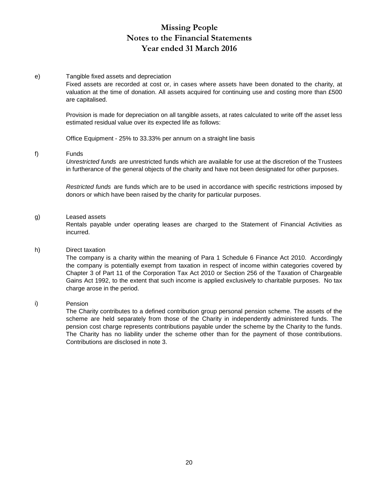#### e) Tangible fixed assets and depreciation

Fixed assets are recorded at cost or, in cases where assets have been donated to the charity, at valuation at the time of donation. All assets acquired for continuing use and costing more than £500 are capitalised.

Provision is made for depreciation on all tangible assets, at rates calculated to write off the asset less estimated residual value over its expected life as follows:

Office Equipment - 25% to 33.33% per annum on a straight line basis

#### f) Funds

*Unrestricted funds* are unrestricted funds which are available for use at the discretion of the Trustees in furtherance of the general objects of the charity and have not been designated for other purposes.

*Restricted funds* are funds which are to be used in accordance with specific restrictions imposed by donors or which have been raised by the charity for particular purposes.

#### g) Leased assets

Rentals payable under operating leases are charged to the Statement of Financial Activities as incurred.

#### h) Direct taxation

The company is a charity within the meaning of Para 1 Schedule 6 Finance Act 2010. Accordingly the company is potentially exempt from taxation in respect of income within categories covered by Chapter 3 of Part 11 of the Corporation Tax Act 2010 or Section 256 of the Taxation of Chargeable Gains Act 1992, to the extent that such income is applied exclusively to charitable purposes. No tax charge arose in the period.

#### i) Pension

The Charity contributes to a defined contribution group personal pension scheme. The assets of the scheme are held separately from those of the Charity in independently administered funds. The pension cost charge represents contributions payable under the scheme by the Charity to the funds. The Charity has no liability under the scheme other than for the payment of those contributions. Contributions are disclosed in note 3.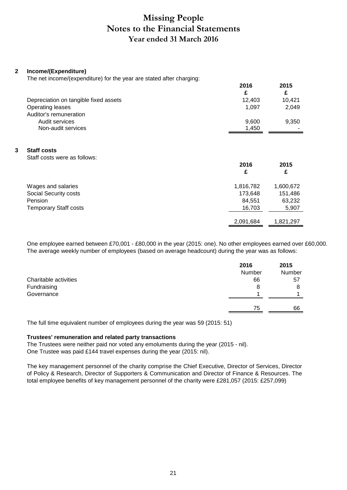#### **2 Income/(Expenditure)**

The net income/(expenditure) for the year are stated after charging:

|   |                                                    | 2016<br>£ | 2015<br>£ |
|---|----------------------------------------------------|-----------|-----------|
|   | Depreciation on tangible fixed assets              | 12,403    | 10,421    |
|   | Operating leases                                   | 1,097     | 2,049     |
|   | Auditor's remuneration                             |           |           |
|   | Audit services                                     | 9,600     | 9,350     |
|   | Non-audit services                                 | 1,450     |           |
| 3 | <b>Staff costs</b><br>Staff costs were as follows: | 2016<br>£ | 2015<br>£ |
|   |                                                    |           |           |
|   | Wages and salaries                                 | 1,816,782 | 1,600,672 |
|   | Social Security costs                              | 173,648   | 151,486   |
|   | Pension                                            | 84,551    | 63,232    |
|   | <b>Temporary Staff costs</b>                       | 16,703    | 5,907     |
|   |                                                    |           |           |
|   |                                                    | 2,091,684 | 1,821,297 |

One employee earned between £70,001 - £80,000 in the year (2015: one). No other employees earned over £60,000. The average weekly number of employees (based on average headcount) during the year was as follows:

|                       | 2016   | 2015   |
|-----------------------|--------|--------|
|                       | Number | Number |
| Charitable activities | 66     | 57     |
| Fundraising           | 8      | 8      |
| Governance            |        |        |
|                       |        |        |
|                       | 75     | 66     |

The full time equivalent number of employees during the year was 59 (2015: 51)

#### **Trustees' remuneration and related party transactions**

The Trustees were neither paid nor voted any emoluments during the year (2015 - nil). One Trustee was paid £144 travel expenses during the year (2015: nil).

The key management personnel of the charity comprise the Chief Executive, Director of Services, Director of Policy & Research, Director of Supporters & Communication and Director of Finance & Resources. The total employee benefits of key management personnel of the charity were £281,057 (2015: £257,099)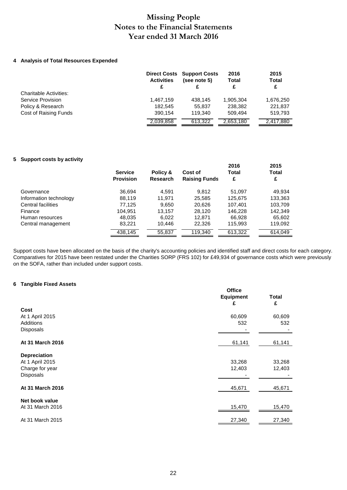#### **4 Analysis of Total Resources Expended**

|                               | <b>Activities</b> | <b>Direct Costs Support Costs</b><br>(see note 5) | 2016<br><b>Total</b><br>£ | 2015<br><b>Total</b><br>£ |
|-------------------------------|-------------------|---------------------------------------------------|---------------------------|---------------------------|
| <b>Charitable Activities:</b> |                   |                                                   |                           |                           |
| Service Provision             | 1,467,159         | 438.145                                           | 1,905,304                 | 1,676,250                 |
| Policy & Research             | 182.545           | 55.837                                            | 238,382                   | 221,837                   |
| Cost of Raising Funds         | 390.154           | 119.340                                           | 509.494                   | 519,793                   |
|                               | 2,039,858         | 613.322                                           | 2,653,180                 | 2,417,880                 |

#### **5 Support costs by activity**

|                        | <b>Service</b><br><b>Provision</b> | Policy &<br>Research | Cost of<br><b>Raising Funds</b> | 2016<br><b>Total</b><br>£ | 2015<br><b>Total</b><br>£ |
|------------------------|------------------------------------|----------------------|---------------------------------|---------------------------|---------------------------|
| Governance             | 36,694                             | 4.591                | 9.812                           | 51.097                    | 49,934                    |
| Information technology | 88,119                             | 11.971               | 25,585                          | 125,675                   | 133,363                   |
| Central facilities     | 77.125                             | 9,650                | 20,626                          | 107,401                   | 103,709                   |
| Finance                | 104.951                            | 13.157               | 28.120                          | 146.228                   | 142,349                   |
| Human resources        | 48,035                             | 6,022                | 12,871                          | 66,928                    | 65,602                    |
| Central management     | 83,221                             | 10,446               | 22,326                          | 115,993                   | 119,092                   |
|                        | 438,145                            | 55,837               | 119,340                         | 613,322                   | 614,049                   |

Support costs have been allocated on the basis of the charity's accounting policies and identified staff and direct costs for each category. Comparatives for 2015 have been restated under the Charities SORP (FRS 102) for £49,934 of governance costs which were previously on the SOFA, rather than included under support costs.

#### **6 Tangible Fixed Assets**

|                                                                        | <b>Office</b><br><b>Equipment</b><br>£ | <b>Total</b><br>£ |
|------------------------------------------------------------------------|----------------------------------------|-------------------|
| Cost<br>At 1 April 2015<br>Additions<br><b>Disposals</b>               | 60,609<br>532                          | 60,609<br>532     |
| At 31 March 2016                                                       | 61,141                                 | 61,141            |
| <b>Depreciation</b><br>At 1 April 2015<br>Charge for year<br>Disposals | 33,268<br>12,403                       | 33,268<br>12,403  |
| At 31 March 2016                                                       | 45,671                                 | 45,671            |
| Net book value<br>At 31 March 2016                                     | 15,470                                 | 15,470            |
| At 31 March 2015                                                       | 27,340                                 | 27,340            |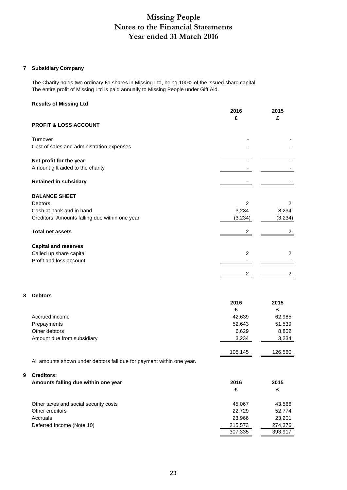#### **7 Subsidiary Company**

The Charity holds two ordinary £1 shares in Missing Ltd, being 100% of the issued share capital. The entire profit of Missing Ltd is paid annually to Missing People under Gift Aid.

#### **Results of Missing Ltd**

|                                                                                                                      | 2016<br>£                          | 2015<br>£                        |
|----------------------------------------------------------------------------------------------------------------------|------------------------------------|----------------------------------|
| <b>PROFIT &amp; LOSS ACCOUNT</b>                                                                                     |                                    |                                  |
| Turnover<br>Cost of sales and administration expenses                                                                |                                    |                                  |
| Net profit for the year<br>Amount gift aided to the charity                                                          |                                    |                                  |
| <b>Retained in subsidary</b>                                                                                         |                                    |                                  |
| <b>BALANCE SHEET</b><br><b>Debtors</b><br>Cash at bank and in hand<br>Creditors: Amounts falling due within one year | $\overline{2}$<br>3,234<br>(3,234) | 2<br>3,234<br>(3,234)            |
| <b>Total net assets</b>                                                                                              | 2                                  | 2                                |
| <b>Capital and reserves</b><br>Called up share capital<br>Profit and loss account                                    | $\overline{c}$<br>2                | $\overline{2}$<br>$\overline{2}$ |
| <b>Debtors</b>                                                                                                       | 2016<br>£                          | 2015<br>£                        |
| Accrued income                                                                                                       | 42,639                             | 62,985                           |
| Prepayments<br>Other debtors                                                                                         | 52,643<br>6,629                    | 51,539<br>8,802                  |

All amounts shown under debtors fall due for payment within one year.

#### **9 Creditors:**

**8 Debtors**

| Amounts falling due within one year   | 2016<br>£ | 2015<br>£ |
|---------------------------------------|-----------|-----------|
| Other taxes and social security costs | 45.067    | 43,566    |
| Other creditors                       | 22.729    | 52,774    |
| Accruals                              | 23.966    | 23.201    |
| Deferred Income (Note 10)             | 215,573   | 274,376   |
|                                       | 307,335   | 393.917   |

Amount due from subsidiary 3,234 3,234 3,234

105,145 126,560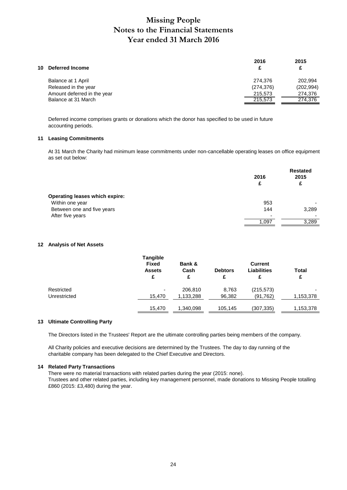|            | 2015       |
|------------|------------|
| c          | £          |
| 274.376    | 202.994    |
| (274, 376) | (202, 994) |
| 215,573    | 274,376    |
| 215.573    | 274,376    |
|            | 2016       |

Deferred income comprises grants or donations which the donor has specified to be used in future accounting periods.

#### **11 Leasing Commitments**

At 31 March the Charity had minimum lease commitments under non-cancellable operating leases on office equipment as set out below:

|                                       | 2016<br>£ | <b>Restated</b><br>2015<br>£ |
|---------------------------------------|-----------|------------------------------|
| <b>Operating leases which expire:</b> |           |                              |
| Within one year                       | 953       |                              |
| Between one and five years            | 144       | 3,289                        |
| After five years                      | ۰         |                              |
|                                       | 1,097     | 3,289                        |

#### **12 Analysis of Net Assets**

|              | <b>Tangible</b><br>Fixed<br><b>Assets</b><br>£ | Bank &<br>Cash<br>£ | <b>Debtors</b><br>£ | <b>Current</b><br><b>Liabilities</b><br>£ | Total<br>£ |
|--------------|------------------------------------------------|---------------------|---------------------|-------------------------------------------|------------|
| Restricted   | ٠                                              | 206,810             | 8.763               | (215, 573)                                |            |
| Unrestricted | 15.470                                         | 1,133,288           | 96,382              | (91, 762)                                 | 1,153,378  |
|              | 15,470                                         | 1,340,098           | 105,145             | (307,335)                                 | 1,153,378  |

#### **13 Ultimate Controlling Party**

The Directors listed in the Trustees' Report are the ultimate controlling parties being members of the company.

All Charity policies and executive decisions are determined by the Trustees. The day to day running of the charitable company has been delegated to the Chief Executive and Directors.

#### **14 Related Party Transactions**

There were no material transactions with related parties during the year (2015: none). Trustees and other related parties, including key management personnel, made donations to Missing People totalling £860 (2015: £3,480) during the year.